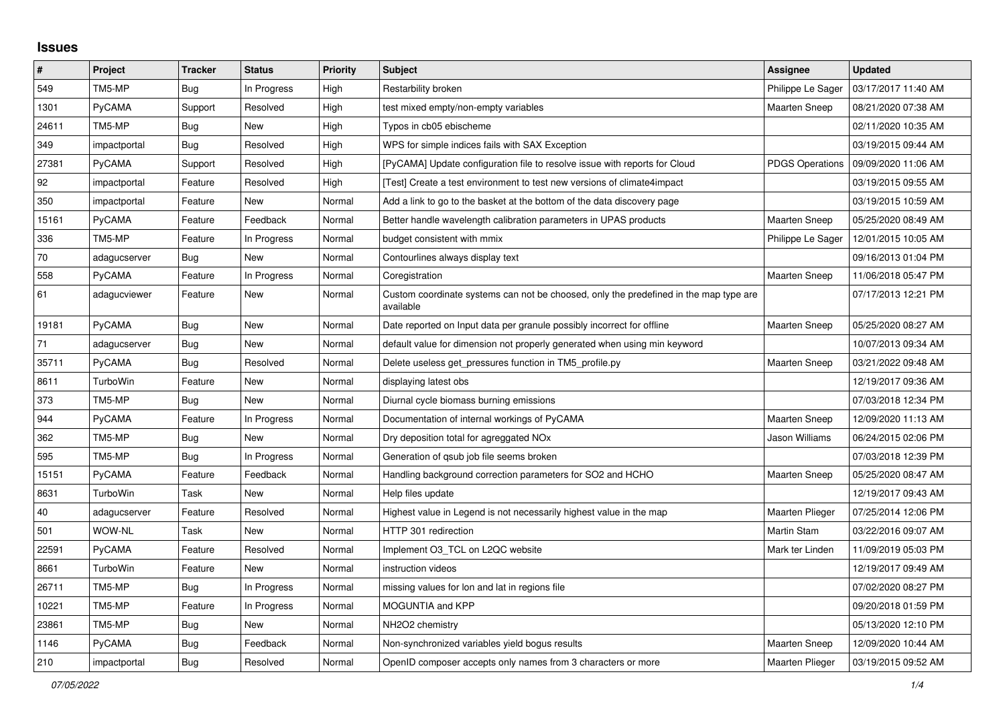## **Issues**

| $\pmb{\#}$ | Project      | <b>Tracker</b> | <b>Status</b> | <b>Priority</b> | <b>Subject</b>                                                                                     | Assignee               | <b>Updated</b>      |
|------------|--------------|----------------|---------------|-----------------|----------------------------------------------------------------------------------------------------|------------------------|---------------------|
| 549        | TM5-MP       | Bug            | In Progress   | High            | Restarbility broken                                                                                | Philippe Le Sager      | 03/17/2017 11:40 AM |
| 1301       | PyCAMA       | Support        | Resolved      | High            | test mixed empty/non-empty variables                                                               | <b>Maarten Sneep</b>   | 08/21/2020 07:38 AM |
| 24611      | TM5-MP       | <b>Bug</b>     | <b>New</b>    | High            | Typos in cb05 ebischeme                                                                            |                        | 02/11/2020 10:35 AM |
| 349        | impactportal | <b>Bug</b>     | Resolved      | High            | WPS for simple indices fails with SAX Exception                                                    |                        | 03/19/2015 09:44 AM |
| 27381      | PyCAMA       | Support        | Resolved      | High            | [PyCAMA] Update configuration file to resolve issue with reports for Cloud                         | <b>PDGS Operations</b> | 09/09/2020 11:06 AM |
| 92         | impactportal | Feature        | Resolved      | High            | [Test] Create a test environment to test new versions of climate4impact                            |                        | 03/19/2015 09:55 AM |
| 350        | impactportal | Feature        | New           | Normal          | Add a link to go to the basket at the bottom of the data discovery page                            |                        | 03/19/2015 10:59 AM |
| 15161      | PyCAMA       | Feature        | Feedback      | Normal          | Better handle wavelength calibration parameters in UPAS products                                   | <b>Maarten Sneep</b>   | 05/25/2020 08:49 AM |
| 336        | TM5-MP       | Feature        | In Progress   | Normal          | budget consistent with mmix                                                                        | Philippe Le Sager      | 12/01/2015 10:05 AM |
| 70         | adagucserver | Bug            | New           | Normal          | Contourlines always display text                                                                   |                        | 09/16/2013 01:04 PM |
| 558        | PyCAMA       | Feature        | In Progress   | Normal          | Coregistration                                                                                     | Maarten Sneep          | 11/06/2018 05:47 PM |
| 61         | adagucviewer | Feature        | New           | Normal          | Custom coordinate systems can not be choosed, only the predefined in the map type are<br>available |                        | 07/17/2013 12:21 PM |
| 19181      | PyCAMA       | Bug            | <b>New</b>    | Normal          | Date reported on Input data per granule possibly incorrect for offline                             | <b>Maarten Sneep</b>   | 05/25/2020 08:27 AM |
| 71         | adagucserver | Bug            | <b>New</b>    | Normal          | default value for dimension not properly generated when using min keyword                          |                        | 10/07/2013 09:34 AM |
| 35711      | PyCAMA       | Bug            | Resolved      | Normal          | Delete useless get_pressures function in TM5_profile.py                                            | <b>Maarten Sneep</b>   | 03/21/2022 09:48 AM |
| 8611       | TurboWin     | Feature        | New           | Normal          | displaying latest obs                                                                              |                        | 12/19/2017 09:36 AM |
| 373        | TM5-MP       | <b>Bug</b>     | New           | Normal          | Diurnal cycle biomass burning emissions                                                            |                        | 07/03/2018 12:34 PM |
| 944        | PyCAMA       | Feature        | In Progress   | Normal          | Documentation of internal workings of PyCAMA                                                       | <b>Maarten Sneep</b>   | 12/09/2020 11:13 AM |
| 362        | TM5-MP       | <b>Bug</b>     | <b>New</b>    | Normal          | Dry deposition total for agreggated NO <sub>x</sub>                                                | Jason Williams         | 06/24/2015 02:06 PM |
| 595        | TM5-MP       | <b>Bug</b>     | In Progress   | Normal          | Generation of qsub job file seems broken                                                           |                        | 07/03/2018 12:39 PM |
| 15151      | PyCAMA       | Feature        | Feedback      | Normal          | Handling background correction parameters for SO2 and HCHO                                         | <b>Maarten Sneep</b>   | 05/25/2020 08:47 AM |
| 8631       | TurboWin     | Task           | New           | Normal          | Help files update                                                                                  |                        | 12/19/2017 09:43 AM |
| 40         | adagucserver | Feature        | Resolved      | Normal          | Highest value in Legend is not necessarily highest value in the map                                | Maarten Plieger        | 07/25/2014 12:06 PM |
| 501        | WOW-NL       | Task           | <b>New</b>    | Normal          | HTTP 301 redirection                                                                               | <b>Martin Stam</b>     | 03/22/2016 09:07 AM |
| 22591      | PyCAMA       | Feature        | Resolved      | Normal          | Implement O3 TCL on L2QC website                                                                   | Mark ter Linden        | 11/09/2019 05:03 PM |
| 8661       | TurboWin     | Feature        | <b>New</b>    | Normal          | instruction videos                                                                                 |                        | 12/19/2017 09:49 AM |
| 26711      | TM5-MP       | <b>Bug</b>     | In Progress   | Normal          | missing values for lon and lat in regions file                                                     |                        | 07/02/2020 08:27 PM |
| 10221      | TM5-MP       | Feature        | In Progress   | Normal          | MOGUNTIA and KPP                                                                                   |                        | 09/20/2018 01:59 PM |
| 23861      | TM5-MP       | Bug            | <b>New</b>    | Normal          | NH2O2 chemistry                                                                                    |                        | 05/13/2020 12:10 PM |
| 1146       | PyCAMA       | Bug            | Feedback      | Normal          | Non-synchronized variables yield bogus results                                                     | <b>Maarten Sneep</b>   | 12/09/2020 10:44 AM |
| 210        | impactportal | Bug            | Resolved      | Normal          | OpenID composer accepts only names from 3 characters or more                                       | Maarten Plieger        | 03/19/2015 09:52 AM |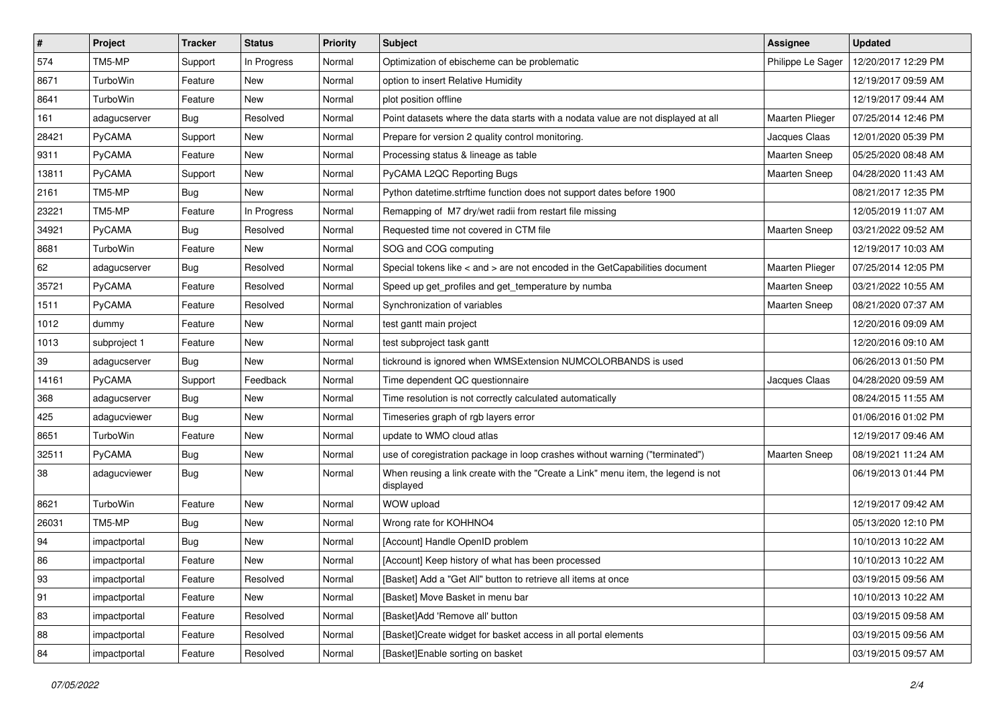| $\pmb{\#}$ | Project      | <b>Tracker</b> | <b>Status</b> | <b>Priority</b> | <b>Subject</b>                                                                                | Assignee               | <b>Updated</b>      |
|------------|--------------|----------------|---------------|-----------------|-----------------------------------------------------------------------------------------------|------------------------|---------------------|
| 574        | TM5-MP       | Support        | In Progress   | Normal          | Optimization of ebischeme can be problematic                                                  | Philippe Le Sager      | 12/20/2017 12:29 PM |
| 8671       | TurboWin     | Feature        | <b>New</b>    | Normal          | option to insert Relative Humidity                                                            |                        | 12/19/2017 09:59 AM |
| 8641       | TurboWin     | Feature        | <b>New</b>    | Normal          | plot position offline                                                                         |                        | 12/19/2017 09:44 AM |
| 161        | adagucserver | <b>Bug</b>     | Resolved      | Normal          | Point datasets where the data starts with a nodata value are not displayed at all             | <b>Maarten Plieger</b> | 07/25/2014 12:46 PM |
| 28421      | PyCAMA       | Support        | <b>New</b>    | Normal          | Prepare for version 2 quality control monitoring.                                             | Jacques Claas          | 12/01/2020 05:39 PM |
| 9311       | PyCAMA       | Feature        | New           | Normal          | Processing status & lineage as table                                                          | <b>Maarten Sneep</b>   | 05/25/2020 08:48 AM |
| 13811      | PyCAMA       | Support        | <b>New</b>    | Normal          | PyCAMA L2QC Reporting Bugs                                                                    | <b>Maarten Sneep</b>   | 04/28/2020 11:43 AM |
| 2161       | TM5-MP       | <b>Bug</b>     | <b>New</b>    | Normal          | Python datetime.strftime function does not support dates before 1900                          |                        | 08/21/2017 12:35 PM |
| 23221      | TM5-MP       | Feature        | In Progress   | Normal          | Remapping of M7 dry/wet radii from restart file missing                                       |                        | 12/05/2019 11:07 AM |
| 34921      | PyCAMA       | <b>Bug</b>     | Resolved      | Normal          | Requested time not covered in CTM file                                                        | Maarten Sneep          | 03/21/2022 09:52 AM |
| 8681       | TurboWin     | Feature        | New           | Normal          | SOG and COG computing                                                                         |                        | 12/19/2017 10:03 AM |
| 62         | adagucserver | <b>Bug</b>     | Resolved      | Normal          | Special tokens like $\lt$ and $\gt$ are not encoded in the GetCapabilities document           | Maarten Plieger        | 07/25/2014 12:05 PM |
| 35721      | PyCAMA       | Feature        | Resolved      | Normal          | Speed up get_profiles and get_temperature by numba                                            | Maarten Sneep          | 03/21/2022 10:55 AM |
| 1511       | PyCAMA       | Feature        | Resolved      | Normal          | Synchronization of variables                                                                  | <b>Maarten Sneep</b>   | 08/21/2020 07:37 AM |
| 1012       | dummy        | Feature        | <b>New</b>    | Normal          | test gantt main project                                                                       |                        | 12/20/2016 09:09 AM |
| 1013       | subproject 1 | Feature        | New           | Normal          | test subproject task gantt                                                                    |                        | 12/20/2016 09:10 AM |
| 39         | adagucserver | Bug            | New           | Normal          | tickround is ignored when WMSExtension NUMCOLORBANDS is used                                  |                        | 06/26/2013 01:50 PM |
| 14161      | PyCAMA       | Support        | Feedback      | Normal          | Time dependent QC questionnaire                                                               | Jacques Claas          | 04/28/2020 09:59 AM |
| 368        | adagucserver | <b>Bug</b>     | New           | Normal          | Time resolution is not correctly calculated automatically                                     |                        | 08/24/2015 11:55 AM |
| 425        | adagucviewer | <b>Bug</b>     | <b>New</b>    | Normal          | Timeseries graph of rgb layers error                                                          |                        | 01/06/2016 01:02 PM |
| 8651       | TurboWin     | Feature        | New           | Normal          | update to WMO cloud atlas                                                                     |                        | 12/19/2017 09:46 AM |
| 32511      | PyCAMA       | <b>Bug</b>     | New           | Normal          | use of coregistration package in loop crashes without warning ("terminated")                  | Maarten Sneep          | 08/19/2021 11:24 AM |
| 38         | adagucviewer | Bug            | <b>New</b>    | Normal          | When reusing a link create with the "Create a Link" menu item, the legend is not<br>displayed |                        | 06/19/2013 01:44 PM |
| 8621       | TurboWin     | Feature        | <b>New</b>    | Normal          | WOW upload                                                                                    |                        | 12/19/2017 09:42 AM |
| 26031      | TM5-MP       | <b>Bug</b>     | New           | Normal          | Wrong rate for KOHHNO4                                                                        |                        | 05/13/2020 12:10 PM |
| 94         | impactportal | <b>Bug</b>     | New           | Normal          | [Account] Handle OpenID problem                                                               |                        | 10/10/2013 10:22 AM |
| 86         | impactportal | Feature        | New           | Normal          | [Account] Keep history of what has been processed                                             |                        | 10/10/2013 10:22 AM |
| 93         | impactportal | Feature        | Resolved      | Normal          | [Basket] Add a "Get All" button to retrieve all items at once                                 |                        | 03/19/2015 09:56 AM |
| 91         | impactportal | Feature        | New           | Normal          | [Basket] Move Basket in menu bar                                                              |                        | 10/10/2013 10:22 AM |
| 83         | impactportal | Feature        | Resolved      | Normal          | [Basket]Add 'Remove all' button                                                               |                        | 03/19/2015 09:58 AM |
| 88         | impactportal | Feature        | Resolved      | Normal          | [Basket]Create widget for basket access in all portal elements                                |                        | 03/19/2015 09:56 AM |
| 84         | impactportal | Feature        | Resolved      | Normal          | [Basket]Enable sorting on basket                                                              |                        | 03/19/2015 09:57 AM |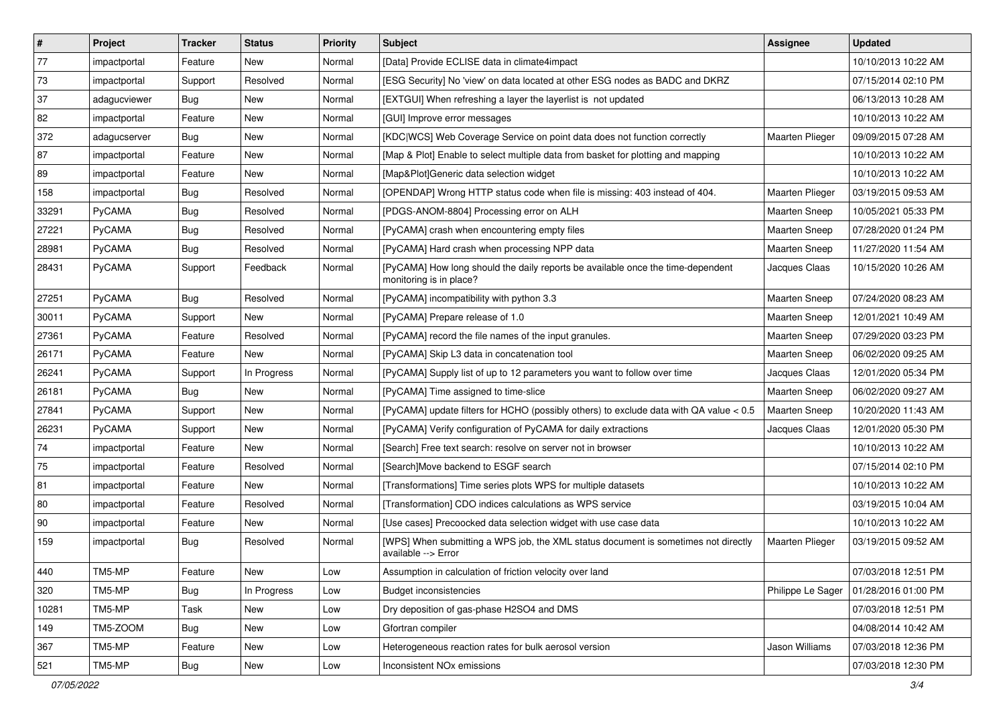| $\vert$ # | Project       | <b>Tracker</b> | <b>Status</b> | <b>Priority</b> | <b>Subject</b>                                                                                             | <b>Assignee</b>        | <b>Updated</b>      |
|-----------|---------------|----------------|---------------|-----------------|------------------------------------------------------------------------------------------------------------|------------------------|---------------------|
| 77        | impactportal  | Feature        | New           | Normal          | [Data] Provide ECLISE data in climate4impact                                                               |                        | 10/10/2013 10:22 AM |
| 73        | impactportal  | Support        | Resolved      | Normal          | [ESG Security] No 'view' on data located at other ESG nodes as BADC and DKRZ                               |                        | 07/15/2014 02:10 PM |
| 37        | adagucviewer  | <b>Bug</b>     | New           | Normal          | [EXTGUI] When refreshing a layer the layerlist is not updated                                              |                        | 06/13/2013 10:28 AM |
| 82        | impactportal  | Feature        | New           | Normal          | [GUI] Improve error messages                                                                               |                        | 10/10/2013 10:22 AM |
| 372       | adagucserver  | <b>Bug</b>     | <b>New</b>    | Normal          | [KDC WCS] Web Coverage Service on point data does not function correctly                                   | <b>Maarten Plieger</b> | 09/09/2015 07:28 AM |
| 87        | impactportal  | Feature        | New           | Normal          | [Map & Plot] Enable to select multiple data from basket for plotting and mapping                           |                        | 10/10/2013 10:22 AM |
| 89        | impactportal  | Feature        | New           | Normal          | [Map&Plot]Generic data selection widget                                                                    |                        | 10/10/2013 10:22 AM |
| 158       | impactportal  | Bug            | Resolved      | Normal          | [OPENDAP] Wrong HTTP status code when file is missing: 403 instead of 404.                                 | <b>Maarten Plieger</b> | 03/19/2015 09:53 AM |
| 33291     | PyCAMA        | <b>Bug</b>     | Resolved      | Normal          | [PDGS-ANOM-8804] Processing error on ALH                                                                   | <b>Maarten Sneep</b>   | 10/05/2021 05:33 PM |
| 27221     | PyCAMA        | <b>Bug</b>     | Resolved      | Normal          | [PyCAMA] crash when encountering empty files                                                               | Maarten Sneep          | 07/28/2020 01:24 PM |
| 28981     | <b>PyCAMA</b> | <b>Bug</b>     | Resolved      | Normal          | [PyCAMA] Hard crash when processing NPP data                                                               | <b>Maarten Sneep</b>   | 11/27/2020 11:54 AM |
| 28431     | PyCAMA        | Support        | Feedback      | Normal          | [PyCAMA] How long should the daily reports be available once the time-dependent<br>monitoring is in place? | Jacques Claas          | 10/15/2020 10:26 AM |
| 27251     | PyCAMA        | <b>Bug</b>     | Resolved      | Normal          | [PyCAMA] incompatibility with python 3.3                                                                   | Maarten Sneep          | 07/24/2020 08:23 AM |
| 30011     | PyCAMA        | Support        | <b>New</b>    | Normal          | [PyCAMA] Prepare release of 1.0                                                                            | <b>Maarten Sneep</b>   | 12/01/2021 10:49 AM |
| 27361     | PyCAMA        | Feature        | Resolved      | Normal          | [PyCAMA] record the file names of the input granules.                                                      | <b>Maarten Sneep</b>   | 07/29/2020 03:23 PM |
| 26171     | PyCAMA        | Feature        | <b>New</b>    | Normal          | [PyCAMA] Skip L3 data in concatenation tool                                                                | <b>Maarten Sneep</b>   | 06/02/2020 09:25 AM |
| 26241     | PyCAMA        | Support        | In Progress   | Normal          | [PyCAMA] Supply list of up to 12 parameters you want to follow over time                                   | Jacques Claas          | 12/01/2020 05:34 PM |
| 26181     | PyCAMA        | <b>Bug</b>     | <b>New</b>    | Normal          | [PyCAMA] Time assigned to time-slice                                                                       | <b>Maarten Sneep</b>   | 06/02/2020 09:27 AM |
| 27841     | PyCAMA        | Support        | <b>New</b>    | Normal          | [PyCAMA] update filters for HCHO (possibly others) to exclude data with QA value < 0.5                     | Maarten Sneep          | 10/20/2020 11:43 AM |
| 26231     | PyCAMA        | Support        | New           | Normal          | [PyCAMA] Verify configuration of PyCAMA for daily extractions                                              | Jacques Claas          | 12/01/2020 05:30 PM |
| 74        | impactportal  | Feature        | New           | Normal          | [Search] Free text search: resolve on server not in browser                                                |                        | 10/10/2013 10:22 AM |
| 75        | impactportal  | Feature        | Resolved      | Normal          | [Search]Move backend to ESGF search                                                                        |                        | 07/15/2014 02:10 PM |
| 81        | impactportal  | Feature        | New           | Normal          | [Transformations] Time series plots WPS for multiple datasets                                              |                        | 10/10/2013 10:22 AM |
| 80        | impactportal  | Feature        | Resolved      | Normal          | [Transformation] CDO indices calculations as WPS service                                                   |                        | 03/19/2015 10:04 AM |
| 90        | impactportal  | Feature        | New           | Normal          | [Use cases] Precoocked data selection widget with use case data                                            |                        | 10/10/2013 10:22 AM |
| 159       | impactportal  | <b>Bug</b>     | Resolved      | Normal          | [WPS] When submitting a WPS job, the XML status document is sometimes not directly<br>available --> Error  | Maarten Plieger        | 03/19/2015 09:52 AM |
| 440       | TM5-MP        | Feature        | New           | Low             | Assumption in calculation of friction velocity over land                                                   |                        | 07/03/2018 12:51 PM |
| 320       | TM5-MP        | <b>Bug</b>     | In Progress   | Low             | <b>Budget inconsistencies</b>                                                                              | Philippe Le Sager      | 01/28/2016 01:00 PM |
| 10281     | TM5-MP        | <b>Task</b>    | <b>New</b>    | Low             | Dry deposition of gas-phase H2SO4 and DMS                                                                  |                        | 07/03/2018 12:51 PM |
| 149       | TM5-ZOOM      | Bug            | New           | Low             | Gfortran compiler                                                                                          |                        | 04/08/2014 10:42 AM |
| 367       | TM5-MP        | Feature        | New           | Low             | Heterogeneous reaction rates for bulk aerosol version                                                      | Jason Williams         | 07/03/2018 12:36 PM |
| 521       | TM5-MP        | <b>Bug</b>     | New           | Low             | Inconsistent NO <sub>x</sub> emissions                                                                     |                        | 07/03/2018 12:30 PM |